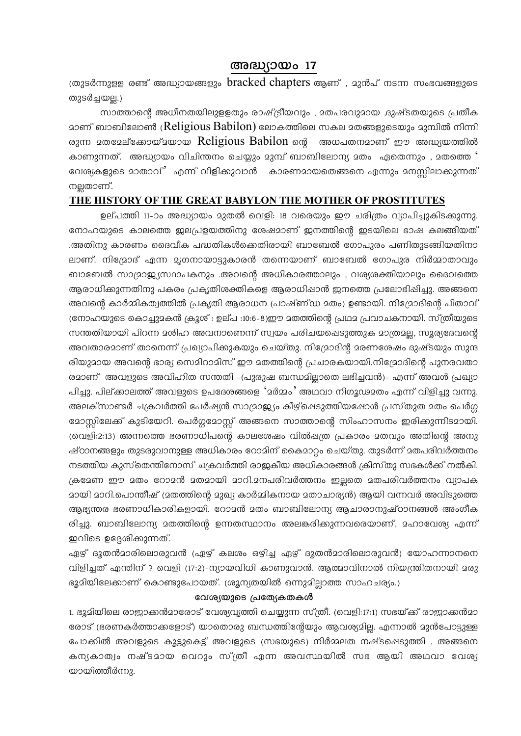## അദ്ധ്യായം 17

ത്രുടർന്നുളള രണ്ട് അദ്ധ്യായങ്ങളും  $bracket$  chapters ആണ്), മുൻപ് നടന്ന സംഭവങ്ങളുടെ തുടർച്ചയല്ല.)

സാത്താന്റെ അധീനതയിലുളളതും രാഷ്ട്രീയവും , മതപരവുമായ ,ദുഷ്ടതയുടെ പ്രതീക മാണ് ബാബിലോൺ (Religious Babilon) ലോകത്തിലെ സകല മതങ്ങളുടെയും മുമ്പിൽ നിന്നി രുന്ന മതമേല്ക്കോയ്മയായ Religious Babilon നെ അധപതനമാണ് ഈ അദ്ധ്യയത്തിൽ കാണുന്നത്. അദ്ധ്യായം വിചിന്തനം ചെയ്യും മുമ്പ് ബാബിലോന്യ മതം ഏതെന്നും , മതത്തെ ' വേശ്യകളുടെ മാതാവ്' എന്ന് വിളിക്കുവാൻ കാരണമായതെങ്ങനെ എന്നും മനസ്സിലാക്കുന്നത് നല്ലതാണ്.

## THE HISTORY OF THE GREAT BABYLON THE MOTHER OF PROSTITUTES

ഉല്പത്തി 11-ാം അദ്ധ്യായം മുതൽ വെളി: 18 വരെയും ഈ ചരിത്രം വ്യാപിച്ചുകിടക്കുന്നു. നോഹയുടെ കാലത്തെ ഇലപ്രളയത്തിനു ശേഷമാണ് ഇനത്തിന്റെ ഇടയിലെ ഭാഷ കലങ്ങിയത് .അതിനു കാരണം ദൈവീക പദ്ധതികൾക്കെതിരായി ബാബേൽ ഗോപുരം പണിതുടങ്ങിയതിനാ ലാണ്. നിദ്രോദ് എന്ന മൃഗനായാട്ടുകാരൻ തന്നെയാണ് ബാബേൽ ഗോപുര നിർമ്മാതാവും ബാബേൽ സാമ്രാജ്യസ്ഥാപകനും .അവന്റെ അധികാരത്താലും , വര്യശക്തിയാലും ദൈവത്തെ ആരാധിക്കുന്നതിനു പകരം പ്രകൃതിശക്തികളെ ആരാധിഷാൻ ഇനത്തെ പ്രലോഭിഷിച്ചു. അങ്ങനെ അവന്റെ കാർമ്മികത്വത്തിൽ പ്രകൃതി ആരാധന (പാഷ്ണ്ഡ മതം) ഉണ്ടായി. നിദ്രോദിന്റെ പിതാവ് (നോഹയുടെ കൊച്ചുമകൻ ക്രൂശ് : ഉല്പ :10:6-8)ഈ മതത്തിന്റെ പ്രഥമ പ്രവാചകനായി. സ്ത്രീയുടെ സന്തതിയായി പിറന്ന മശിഹ അവനാണെന്ന് സ്വയം പരിചയപ്പെടുത്തുക മാത്രമല്ല, സൂര്യദേവന്റെ അവതാരമാണ് താനെന്ന് പ്രഖ്യാപിക്കുകയും ചെയ്തു. നിദ്രോദിന്റ മരണശേഷം ദുഷ്ടയും സുന്ദ രിയുമായ അവന്റെ ഭാര്യ സെമിറാമിസ് ഈ മതത്തിന്റെ പ്രചാരകയായി.നിദ്രോദിന്റെ പുനരവതാ രമാണ് അവളുടെ അവിഹിത സന്തതി -(പുരുഷ ബന്ധമില്ലാതെ ലഭിച്ചവൻ)- എന്ന് അവൾ പ്രഖ്യാ പിച്ചു. പില്ക്കാലത്ത് അവളുടെ ഉപദേശങ്ങളെ 'മർമ്മം' അഥവാ നിഗൂഢമതം എന്ന് വിളിച്ചു വന്നു. അലക്സാണ്ടർ ചക്രവർത്തി പേർഷ്യൻ സാമ്രാജ്യം കീഴ്ചെടുത്തിയപ്പോൾ പ്രസ്തുത മതം പെർഗ്ഗ മോസ്സിലേക്ക് കുടിയേറി. പെർഗ്ഗമോസ്സ് അങ്ങനെ സാത്താന്റെ സിംഹാസനം ഇരിക്കുന്നിടമായി. (വെളി:2:13) അന്നത്തെ ഭരണാധിപന്റെ കാലശേഷം വിൽപ്പത്ര പ്രകാരം മതവും അതിന്റെ അനു ഷ്ഠാനങ്ങളും തുടരുവാനുള്ള അധികാരം റോമിന് കൈമാറ്റം ചെയ്തു. തുടർന്ന് മതപരിവർത്തനം നടത്തിയ കുസ്തെന്തിനോസ് ചക്രവർത്തി രാജകീയ അധികാരങ്ങൾ ക്രിസ്തു സഭകൾക്ക് നൽകി. ക്രമേണ ഈ മതം റോമൻ മതമായി മാറി.മനപരിവർത്തനം ഇല്ലതെ മതപരിവർത്തനം വ്യാപക മായി മാറി.പൊന്തീഷ് (മതത്തിന്റെ മുഖ്യ കാർമ്മികനായ മതാചാര്യൻ) ആയി വന്നവർ അവിടുത്തെ ആഭ്യന്തര ഭരണാധികാരികളായി. റോമൻ മതം ബാബിലോന്യ ആചാരാനുഷ്ഠാനങ്ങൾ അംഗീക രിച്ചു. ബാബിലോന്യ മതത്തിന്റെ ഉന്നതസ്ഥാനം അലങ്കരിക്കുന്നവരെയാണ്, മഹാവേശ്യ എന്ന് ഇവിടെ ഉദ്ദേശിക്കുന്നത്.

ഏഴ് ദൂതൻമാരിലൊരുവൻ (ഏഴ് കലശം ഒഴിച്ച ഏഴ് ദൂതൻമാരിലൊരുവൻ) യോഹന്നാനനെ വിളിച്ചത് എന്തിന് ? വെളി (17:2)-ന്യായവിധി കാണുവാൻ. ആത്മാവിനാൽ നിയന്ത്രിതനായി മരു ഭൂമിയിലേക്കാണ് കൊണ്ടുപോയത്. (ശൂന്യതയിൽ ഒന്നുമില്ലാത്ത സാഹചര്യം.)

## വേശ്യയുടെ പ്രത്യേകതകൾ

1. ഭൂമിയിലെ രാജാക്കൻമാരോട് വേശ്യവൃത്തി ചെയ്യുന്ന സ്ത്രീ. (വെളി:17:1) സഭയ്ക്ക് രാജാക്കൻമാ രോട് ഭ്രരണകർത്താക്കളോട്) യാതൊരു ബന്ധത്തിന്റേയും ആവശ്യമില്ല. എന്നാൽ മുൻപോട്ടുള്ള പോക്കിൽ അവളുടെ കൂട്ടുകെട്ട് അവളുടെ (സഭയുടെ) നിർമ്മലത നഷ്ടപ്പെടുത്തി . അങ്ങനെ കന്യകാത്വം നഷ്ടമായ വെറും സ്ത്രീ എന്ന അവസ്ഥയിൽ സഭ ആയി അഥവാ വേര്യ യായിത്തീർന്നു.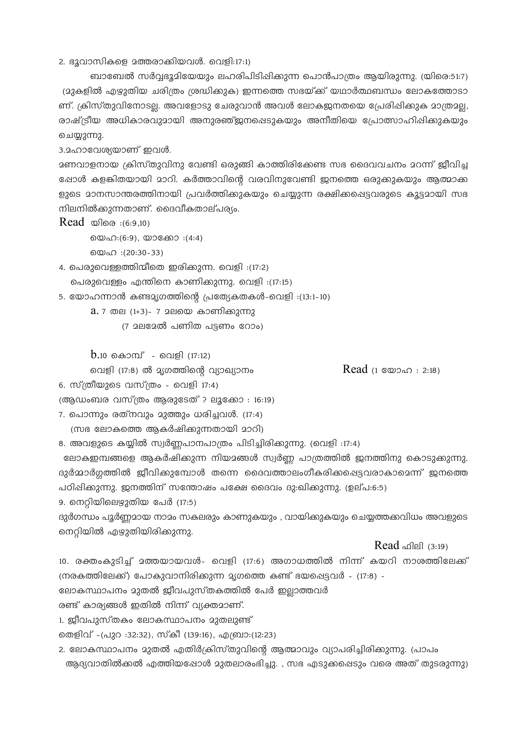2. ഭൂവാസികളെ മത്തരാക്കിയവൾ. വെളി:17:1)

ബാബേൽ സർവ്വഭൂമിയേയും ലഹരിപിടിഷിക്കുന്ന പൊൻപാത്രം ആയിരുന്നു. (യിരെ:51:7) (മുകളിൽ എഴുതിയ ചരിത്രം ശ്രദ്ധിക്കുക) ഇന്നത്തെ സഭയ്ക്ക് യഥാർത്ഥബന്ധം ലോകത്തോടാ ണ്. ക്രിസ്തുവിനോടല്ല. അവളോടു ചേരുവാൻ അവൾ ലോകജനതയെ പ്രേരിഷിക്കുക മാത്രമല്ല, രാഷ്ട്രീയ അധികാരവുമായി അനുരഞ്ജുനപ്പെടുകയും അനീതിയെ പ്രോത്സാഹിഷിക്കുകയും ചെയ്യുന്നു.

3.2ഹാവേശ്യയാണ് ഇവൾ.

മണവാളനായ ക്രിസ്തുവിനു വേണ്ടി ഒരുങ്ങി കാത്തിരിക്കേണ്ട സഭ ദൈവവചനം മറന്ന് ജീവിച്ച ഷോൾ കളങ്കിതയായി മാറി. കർത്താവിന്റെ വരവിനുവേണ്ടി ജനത്തെ ഒരുക്കുകയും ആത്മാക്ക ളുടെ മാനസാന്തരത്തിനായി പ്രവർത്തിക്കുകയും ചെയ്യുന്ന രക്ഷിക്കപ്പെട്ടവരുടെ കൂട്ടമായി സഭ നിലനിൽക്കുന്നതാണ്. ദൈവീകതാല്പര്യം.

Read  $\omega$ ിരെ :(6:9,10)

യെഹ: (6:9), യാക്കോ : (4:4)

യെഹ :(20:30-33)

4. പെരുവെള്ളത്തിന്മീതെ ഇരിക്കുന്ന. വെളി :(17:2) പെരുവെള്ളം എന്തിനെ കാണിക്കുന്നു. വെളി :(17:15)

- 5. യോഹന്നാൻ കണ്ടമൃഗത്തിന്റെ പ്രത്യേകതകൾ-വെളി :(13:1-10)
	- $a.7$  തല (1+3)- 7 മലയെ കാണിക്കുന്നു
		- (7 മലമേൽ പണിത പട്ടണം റോം)

 $b_{.10}$  കൊമ്പ് - വെളി (17:12)

വെളി (17:8) ൽ മൃഗത്തിന്റെ വ്യാഖ്യാനം

Read  $(1 \text{ } \infty)$   $(2.18)$ 

6. സ്ത്രീയുടെ വസ്ത്രം - വെളി 17:4)

(ആഡംബര വസ്ത്രം ആരുടേത് ? ലൂക്കോ : 16:19)

- 7. പൊന്നും രത്നവും മുത്തും ധരിച്ചവൾ. (17:4)
	- (സഭ ലോകത്തെ ആകർഷിക്കുന്നതായി മാറി)

8. അവളുടെ കയ്യിൽ സ്വർണ്ണപാനപാത്രം പിടിച്ചിരിക്കുന്നു. (വെളി :17:4)

ലോകഇമ്പങ്ങളെ ആകർഷിക്കുന്ന നിയമങ്ങൾ സ്വർണ്ണ പാത്രത്തിൽ ജനത്തിനു കൊടുക്കുന്നു. ദുർമ്മാർഗ്ഗത്തിൽ ജീവിക്കുമ്പോൾ തന്നെ ദൈവത്താലംഗീകരിക്കപ്പെട്ടവരാകാമെന്ന് ജനത്തെ പഠിഷിക്കുന്നു. ഇനത്തിന് സന്തോഷം പക്ഷേ ദൈവം ദു:ഖിക്കുന്നു. (ഉല്പ:6:5)

9. നെറിയിലെഴ്ചുതിയ പേർ (17:5)

ദുർഗന്ധം പൂർണമായ നാമം സകലരും കാണുകയും , വായിക്കുകയും ചെയ്യത്തക്കവിധം അവളുടെ നെറ്റിയിൽ എഴുതിയിരിക്കുന്നു.

 $Read$   $\Omega$   $(3:19)$ 

10. രക്തംകുടിച്ച് മത്തയായവൾ- വെളി (17:6) അഗാധത്തിൽ നിന്ന് കയറി നാശത്തിലേക്ക് (നരകത്തിലേക്ക്) പോകുവാനിരിക്കുന്ന മൃഗത്തെ കണ്ട് ഭയപ്പെട്ടവർ - (17:8) -

ലോകസ്ഥാപനം മുതൽ ജീവപുസ്തകത്തിൽ പേർ ഇലാത്തവർ

രണ്ട് കാര്യങ്ങൾ ഇതിൽ നിന്ന് വ്യക്തമാണ്.

1. ജീവപുസ്തകം ലോകസ്ഥാപനം മുതലുണ്ട്

തെളിവ് -(പുറ :32:32), സ്കീ (139:16), എബ്രാ:(12:23)

2. ലോകസ്ഥാപനം മുതൽ എതിർക്രിസ്തുവിന്റെ ആത്മാവും വ്യാപരിച്ചിരിക്കുന്നു. പ്രാപം ആദ്യവാതിൽക്കൽ എത്തിയപ്പോൾ മുതലാരംഭിച്ചു. , സഭ എടുക്കപ്പെടും വരെ അത് തുടരുന്നു)